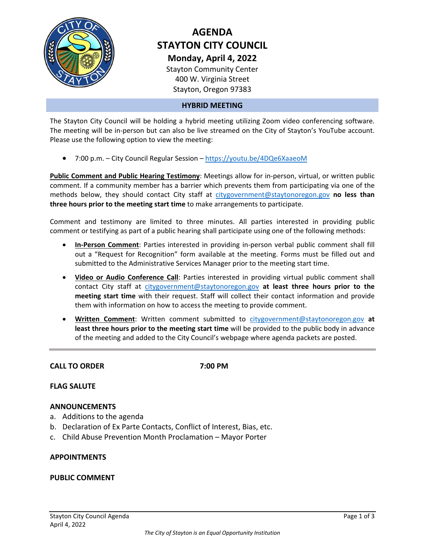

# **AGENDA STAYTON CITY COUNCIL Monday, April 4, 2022** Stayton Community Center

400 W. Virginia Street

Stayton, Oregon 97383

### **HYBRID MEETING**

The Stayton City Council will be holding a hybrid meeting utilizing Zoom video conferencing software. The meeting will be in-person but can also be live streamed on the City of Stayton's YouTube account. Please use the following option to view the meeting:

• 7:00 p.m. – City Council Regular Session – <https://youtu.be/4DQe6XaaeoM>

**Public Comment and Public Hearing Testimony**: Meetings allow for in-person, virtual, or written public comment. If a community member has a barrier which prevents them from participating via one of the methods below, they should contact City staff at [citygovernment@staytonoregon.gov](mailto:citygovernment@staytonoregon.gov) **no less than three hours prior to the meeting start time** to make arrangements to participate.

Comment and testimony are limited to three minutes. All parties interested in providing public comment or testifying as part of a public hearing shall participate using one of the following methods:

- **In-Person Comment**: Parties interested in providing in-person verbal public comment shall fill out a "Request for Recognition" form available at the meeting. Forms must be filled out and submitted to the Administrative Services Manager prior to the meeting start time.
- **Video or Audio Conference Call**: Parties interested in providing virtual public comment shall contact City staff at [citygovernment@staytonoregon.gov](mailto:citygovernment@staytonoregon.gov) **at least three hours prior to the meeting start time** with their request. Staff will collect their contact information and provide them with information on how to access the meeting to provide comment.
- **Written Comment**: Written comment submitted to [citygovernment@staytonoregon.gov](mailto:citygovernment@staytonoregon.gov) **at least three hours prior to the meeting start time** will be provided to the public body in advance of the meeting and added to the City Council's webpage where agenda packets are posted.

**CALL TO ORDER 7:00 PM**

### **FLAG SALUTE**

### **ANNOUNCEMENTS**

- a. Additions to the agenda
- b. Declaration of Ex Parte Contacts, Conflict of Interest, Bias, etc.
- c. Child Abuse Prevention Month Proclamation Mayor Porter

### **APPOINTMENTS**

### **PUBLIC COMMENT**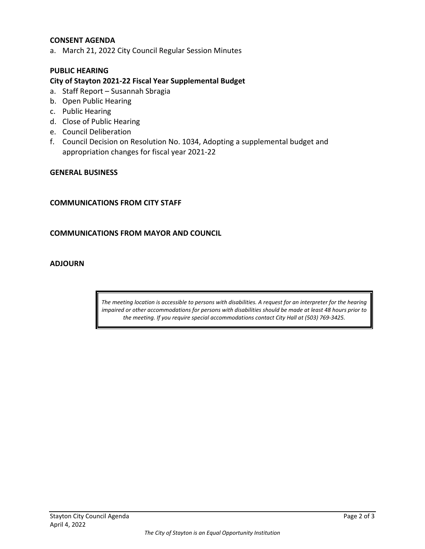### **CONSENT AGENDA**

a. March 21, 2022 City Council Regular Session Minutes

### **PUBLIC HEARING**

### **City of Stayton 2021-22 Fiscal Year Supplemental Budget**

- a. Staff Report Susannah Sbragia
- b. Open Public Hearing
- c. Public Hearing
- d. Close of Public Hearing
- e. Council Deliberation
- f. Council Decision on Resolution No. 1034, Adopting a supplemental budget and appropriation changes for fiscal year 2021-22

#### **GENERAL BUSINESS**

### **COMMUNICATIONS FROM CITY STAFF**

### **COMMUNICATIONS FROM MAYOR AND COUNCIL**

### **ADJOURN**

*The meeting location is accessible to persons with disabilities. A request for an interpreter for the hearing impaired or other accommodations for persons with disabilities should be made at least 48 hours prior to the meeting. If you require special accommodations contact City Hall at (503) 769-3425.*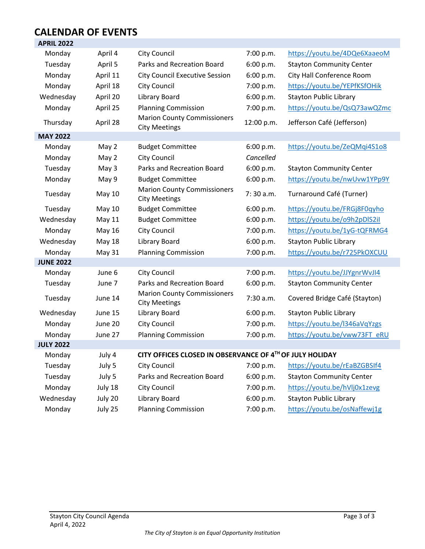### **CALENDAR OF EVENTS APRIL 2022**

| AFNIL ZUZZ       |               |                                                            |            |                                 |
|------------------|---------------|------------------------------------------------------------|------------|---------------------------------|
| Monday           | April 4       | <b>City Council</b>                                        | 7:00 p.m.  | https://youtu.be/4DQe6XaaeoM    |
| Tuesday          | April 5       | Parks and Recreation Board                                 | 6:00 p.m.  | <b>Stayton Community Center</b> |
| Monday           | April 11      | <b>City Council Executive Session</b>                      | 6:00 p.m.  | City Hall Conference Room       |
| Monday           | April 18      | <b>City Council</b>                                        | 7:00 p.m.  | https://youtu.be/YEPfKSfOHik    |
| Wednesday        | April 20      | Library Board                                              | 6:00 p.m.  | <b>Stayton Public Library</b>   |
| Monday           | April 25      | <b>Planning Commission</b>                                 | 7:00 p.m.  | https://youtu.be/QsQ73awQZmc    |
| Thursday         | April 28      | <b>Marion County Commissioners</b><br><b>City Meetings</b> | 12:00 p.m. | Jefferson Café (Jefferson)      |
| <b>MAY 2022</b>  |               |                                                            |            |                                 |
| Monday           | May 2         | <b>Budget Committee</b>                                    | 6:00 p.m.  | https://youtu.be/ZeQMqi4S1o8    |
| Monday           | May 2         | <b>City Council</b>                                        | Cancelled  |                                 |
| Tuesday          | May 3         | Parks and Recreation Board                                 | 6:00 p.m.  | <b>Stayton Community Center</b> |
| Monday           | May 9         | <b>Budget Committee</b>                                    | 6:00 p.m.  | https://youtu.be/nwUvw1YPp9Y    |
| Tuesday          | <b>May 10</b> | <b>Marion County Commissioners</b><br><b>City Meetings</b> | 7:30 a.m.  | Turnaround Café (Turner)        |
| Tuesday          | <b>May 10</b> | <b>Budget Committee</b>                                    | 6:00 p.m.  | https://youtu.be/FRGj8F0qyho    |
| Wednesday        | <b>May 11</b> | <b>Budget Committee</b>                                    | 6:00 p.m.  | https://youtu.be/o9h2pDIS2il    |
| Monday           | May 16        | <b>City Council</b>                                        | 7:00 p.m.  | https://youtu.be/1yG-tQFRMG4    |
| Wednesday        | <b>May 18</b> | Library Board                                              | 6:00 p.m.  | <b>Stayton Public Library</b>   |
| Monday           | <b>May 31</b> | <b>Planning Commission</b>                                 | 7:00 p.m.  | https://youtu.be/r725PkOXCUU    |
| <b>JUNE 2022</b> |               |                                                            |            |                                 |
| Monday           | June 6        | City Council                                               | 7:00 p.m.  | https://youtu.be/JJYgnrWvJI4    |
| Tuesday          | June 7        | Parks and Recreation Board                                 | 6:00 p.m.  | <b>Stayton Community Center</b> |
| Tuesday          | June 14       | <b>Marion County Commissioners</b><br><b>City Meetings</b> | 7:30 a.m.  | Covered Bridge Café (Stayton)   |
| Wednesday        | June 15       | <b>Library Board</b>                                       | 6:00 p.m.  | <b>Stayton Public Library</b>   |
| Monday           | June 20       | <b>City Council</b>                                        | 7:00 p.m.  | https://youtu.be/l346aVqYzgs    |
| Monday           | June 27       | <b>Planning Commission</b>                                 | 7:00 p.m.  | https://youtu.be/vww73FT_eRU    |
| <b>JULY 2022</b> |               |                                                            |            |                                 |
| Monday           | July 4        | CITY OFFICES CLOSED IN OBSERVANCE OF 4TH OF JULY HOLIDAY   |            |                                 |
| Tuesday          | July 5        | <b>City Council</b>                                        | 7:00 p.m.  | https://youtu.be/rEaBZGBSIf4    |
| Tuesday          | July 5        | Parks and Recreation Board                                 | 6:00 p.m.  | <b>Stayton Community Center</b> |
| Monday           | July 18       | City Council                                               | 7:00 p.m.  | https://youtu.be/hVlj0x1zevg    |
| Wednesday        | July 20       | Library Board                                              | 6:00 p.m.  | <b>Stayton Public Library</b>   |
| Monday           | July 25       | <b>Planning Commission</b>                                 | 7:00 p.m.  | https://youtu.be/osNaffewj1g    |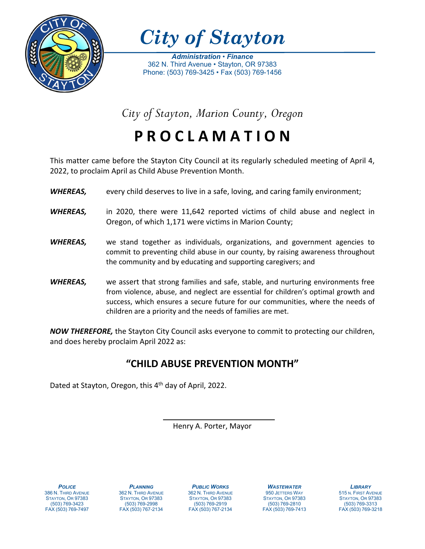

*City of Stayton*

*Administration* • *Finance* 362 N. Third Avenue • Stayton, OR 97383 Phone: (503) 769-3425 • Fax (503) 769-1456

*City of Stayton, Marion County, Oregon*

**P R O C L A M A T I O N**

This matter came before the Stayton City Council at its regularly scheduled meeting of April 4, 2022, to proclaim April as Child Abuse Prevention Month.

- *WHEREAS,* every child deserves to live in a safe, loving, and caring family environment;
- *WHEREAS,* in 2020, there were 11,642 reported victims of child abuse and neglect in Oregon, of which 1,171 were victims in Marion County;
- *WHEREAS,* we stand together as individuals, organizations, and government agencies to commit to preventing child abuse in our county, by raising awareness throughout the community and by educating and supporting caregivers; and
- *WHEREAS,* we assert that strong families and safe, stable, and nurturing environments free from violence, abuse, and neglect are essential for children's optimal growth and success, which ensures a secure future for our communities, where the needs of children are a priority and the needs of families are met.

*NOW THEREFORE,* the Stayton City Council asks everyone to commit to protecting our children, and does hereby proclaim April 2022 as:

# **"CHILD ABUSE PREVENTION MONTH"**

Dated at Stayton, Oregon, this 4th day of April, 2022.

Henry A. Porter, Mayor

*POLICE* 386 N. THIRD AVENUE STAYTON, OR 97383 (503) 769-3423 FAX (503) 769-7497

*PLANNING* 362 N. THIRD AVENUE STAYTON, OR 97383 (503) 769-2998 FAX (503) 767-2134

*PUBLIC WORKS* 362 N. THIRD AVENUE STAYTON, OR 97383 (503) 769-2919 FAX (503) 767-2134

*WASTEWATER* 950 JETTERS WAY STAYTON, OR 97383 (503) 769-2810 FAX (503) 769-7413

*LIBRARY* 515 N. FIRST AVENUE STAYTON, OR 97383 (503) 769-3313 FAX (503) 769-3218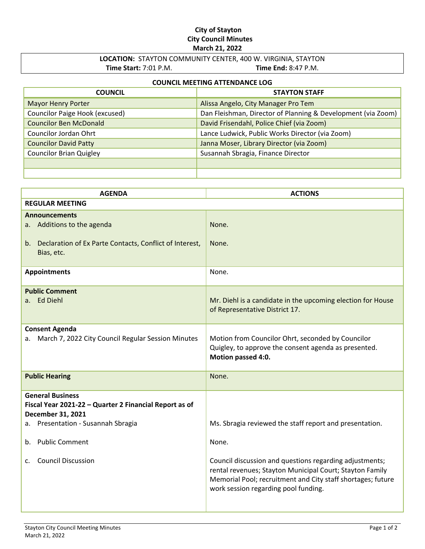### **City of Stayton City Council Minutes March 21, 2022**

# **LOCATION:** STAYTON COMMUNITY CENTER, 400 W. VIRGINIA, STAYTON **Time Start:** 7:01 P.M. **Time End:** 8:47 P.M.

### **COUNCIL MEETING ATTENDANCE LOG**

| <b>COUNCIL</b>                 | <b>STAYTON STAFF</b>                                         |
|--------------------------------|--------------------------------------------------------------|
| <b>Mayor Henry Porter</b>      | Alissa Angelo, City Manager Pro Tem                          |
| Councilor Paige Hook (excused) | Dan Fleishman, Director of Planning & Development (via Zoom) |
| <b>Councilor Ben McDonald</b>  | David Frisendahl, Police Chief (via Zoom)                    |
| Councilor Jordan Ohrt          | Lance Ludwick, Public Works Director (via Zoom)              |
| <b>Councilor David Patty</b>   | Janna Moser, Library Director (via Zoom)                     |
| <b>Councilor Brian Quigley</b> | Susannah Sbragia, Finance Director                           |
|                                |                                                              |
|                                |                                                              |

| <b>AGENDA</b>                                                                                                    | <b>ACTIONS</b>                                                                                                                                                                                                             |
|------------------------------------------------------------------------------------------------------------------|----------------------------------------------------------------------------------------------------------------------------------------------------------------------------------------------------------------------------|
| <b>REGULAR MEETING</b>                                                                                           |                                                                                                                                                                                                                            |
| <b>Announcements</b><br>a. Additions to the agenda<br>b. Declaration of Ex Parte Contacts, Conflict of Interest, | None.<br>None.                                                                                                                                                                                                             |
| Bias, etc.                                                                                                       |                                                                                                                                                                                                                            |
| <b>Appointments</b>                                                                                              | None.                                                                                                                                                                                                                      |
| <b>Public Comment</b><br>a. Ed Diehl                                                                             | Mr. Diehl is a candidate in the upcoming election for House<br>of Representative District 17.                                                                                                                              |
| <b>Consent Agenda</b><br>March 7, 2022 City Council Regular Session Minutes<br>а.                                | Motion from Councilor Ohrt, seconded by Councilor<br>Quigley, to approve the consent agenda as presented.<br>Motion passed 4:0.                                                                                            |
| <b>Public Hearing</b>                                                                                            | None.                                                                                                                                                                                                                      |
| <b>General Business</b><br>Fiscal Year 2021-22 - Quarter 2 Financial Report as of<br>December 31, 2021           |                                                                                                                                                                                                                            |
| a. Presentation - Susannah Sbragia                                                                               | Ms. Sbragia reviewed the staff report and presentation.                                                                                                                                                                    |
| <b>Public Comment</b><br>b.                                                                                      | None.                                                                                                                                                                                                                      |
| <b>Council Discussion</b><br>$\mathsf{C}$ .                                                                      | Council discussion and questions regarding adjustments;<br>rental revenues; Stayton Municipal Court; Stayton Family<br>Memorial Pool; recruitment and City staff shortages; future<br>work session regarding pool funding. |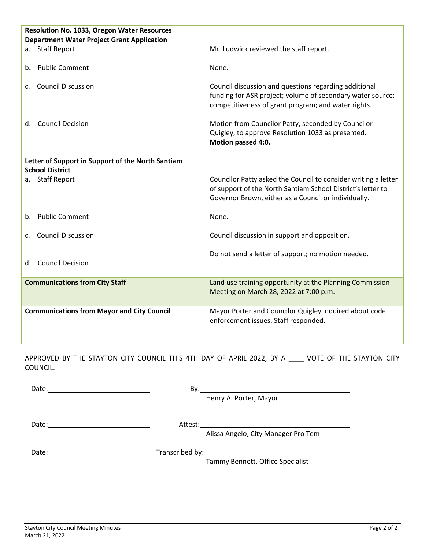| <b>Resolution No. 1033, Oregon Water Resources</b><br><b>Department Water Project Grant Application</b> |                                                                                                                                                                                       |
|---------------------------------------------------------------------------------------------------------|---------------------------------------------------------------------------------------------------------------------------------------------------------------------------------------|
| a. Staff Report                                                                                         | Mr. Ludwick reviewed the staff report.                                                                                                                                                |
| <b>Public Comment</b><br>b.                                                                             | None.                                                                                                                                                                                 |
| <b>Council Discussion</b><br>C <sub>1</sub>                                                             | Council discussion and questions regarding additional<br>funding for ASR project; volume of secondary water source;<br>competitiveness of grant program; and water rights.            |
| <b>Council Decision</b><br>d.                                                                           | Motion from Councilor Patty, seconded by Councilor<br>Quigley, to approve Resolution 1033 as presented.<br>Motion passed 4:0.                                                         |
| Letter of Support in Support of the North Santiam<br><b>School District</b>                             |                                                                                                                                                                                       |
| <b>Staff Report</b><br>a.                                                                               | Councilor Patty asked the Council to consider writing a letter<br>of support of the North Santiam School District's letter to<br>Governor Brown, either as a Council or individually. |
| b. Public Comment                                                                                       | None.                                                                                                                                                                                 |
| <b>Council Discussion</b><br>C.                                                                         | Council discussion in support and opposition.                                                                                                                                         |
| d. Council Decision                                                                                     | Do not send a letter of support; no motion needed.                                                                                                                                    |
| <b>Communications from City Staff</b>                                                                   | Land use training opportunity at the Planning Commission<br>Meeting on March 28, 2022 at 7:00 p.m.                                                                                    |
| <b>Communications from Mayor and City Council</b>                                                       | Mayor Porter and Councilor Quigley inquired about code<br>enforcement issues. Staff responded.                                                                                        |

APPROVED BY THE STAYTON CITY COUNCIL THIS 4TH DAY OF APRIL 2022, BY A \_\_\_\_ VOTE OF THE STAYTON CITY COUNCIL.

| Date: | By:     |                                     |
|-------|---------|-------------------------------------|
|       |         | Henry A. Porter, Mayor              |
|       |         |                                     |
|       | Attest: |                                     |
|       |         | Alissa Angelo, City Manager Pro Tem |
| Date: |         |                                     |
|       |         | Tammy Bennett, Office Specialist    |
|       |         |                                     |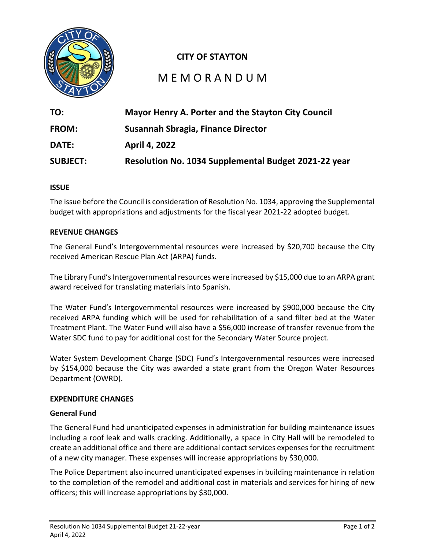

# **CITY OF STAYTON**

# M E M O R A N D U M

| TO:             | Mayor Henry A. Porter and the Stayton City Council   |
|-----------------|------------------------------------------------------|
| <b>FROM:</b>    | Susannah Sbragia, Finance Director                   |
| <b>DATE:</b>    | <b>April 4, 2022</b>                                 |
| <b>SUBJECT:</b> | Resolution No. 1034 Supplemental Budget 2021-22 year |

### **ISSUE**

The issue before the Council is consideration of Resolution No. 1034, approving the Supplemental budget with appropriations and adjustments for the fiscal year 2021-22 adopted budget.

### **REVENUE CHANGES**

The General Fund's Intergovernmental resources were increased by \$20,700 because the City received American Rescue Plan Act (ARPA) funds.

The Library Fund's Intergovernmental resources were increased by \$15,000 due to an ARPA grant award received for translating materials into Spanish.

The Water Fund's Intergovernmental resources were increased by \$900,000 because the City received ARPA funding which will be used for rehabilitation of a sand filter bed at the Water Treatment Plant. The Water Fund will also have a \$56,000 increase of transfer revenue from the Water SDC fund to pay for additional cost for the Secondary Water Source project.

Water System Development Charge (SDC) Fund's Intergovernmental resources were increased by \$154,000 because the City was awarded a state grant from the Oregon Water Resources Department (OWRD).

### **EXPENDITURE CHANGES**

### **General Fund**

The General Fund had unanticipated expenses in administration for building maintenance issues including a roof leak and walls cracking. Additionally, a space in City Hall will be remodeled to create an additional office and there are additional contact services expenses for the recruitment of a new city manager. These expenses will increase appropriations by \$30,000.

The Police Department also incurred unanticipated expenses in building maintenance in relation to the completion of the remodel and additional cost in materials and services for hiring of new officers; this will increase appropriations by \$30,000.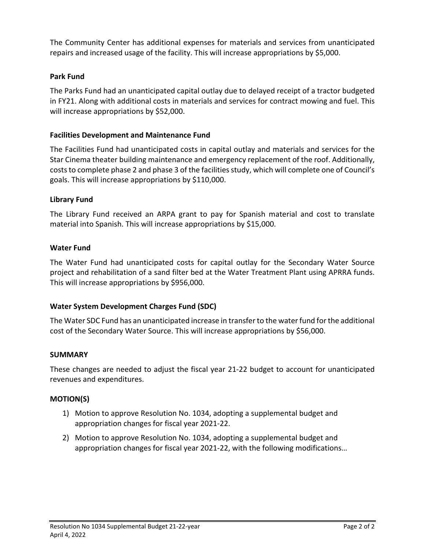The Community Center has additional expenses for materials and services from unanticipated repairs and increased usage of the facility. This will increase appropriations by \$5,000.

# **Park Fund**

The Parks Fund had an unanticipated capital outlay due to delayed receipt of a tractor budgeted in FY21. Along with additional costs in materials and services for contract mowing and fuel. This will increase appropriations by \$52,000.

# **Facilities Development and Maintenance Fund**

The Facilities Fund had unanticipated costs in capital outlay and materials and services for the Star Cinema theater building maintenance and emergency replacement of the roof. Additionally, coststo complete phase 2 and phase 3 of the facilities study, which will complete one of Council's goals. This will increase appropriations by \$110,000.

## **Library Fund**

The Library Fund received an ARPA grant to pay for Spanish material and cost to translate material into Spanish. This will increase appropriations by \$15,000.

## **Water Fund**

The Water Fund had unanticipated costs for capital outlay for the Secondary Water Source project and rehabilitation of a sand filter bed at the Water Treatment Plant using APRRA funds. This will increase appropriations by \$956,000.

# **Water System Development Charges Fund (SDC)**

The Water SDC Fund has an unanticipated increase in transfer to the water fund for the additional cost of the Secondary Water Source. This will increase appropriations by \$56,000.

### **SUMMARY**

These changes are needed to adjust the fiscal year 21-22 budget to account for unanticipated revenues and expenditures.

### **MOTION(S)**

- 1) Motion to approve Resolution No. 1034, adopting a supplemental budget and appropriation changes for fiscal year 2021-22.
- 2) Motion to approve Resolution No. 1034, adopting a supplemental budget and appropriation changes for fiscal year 2021-22, with the following modifications…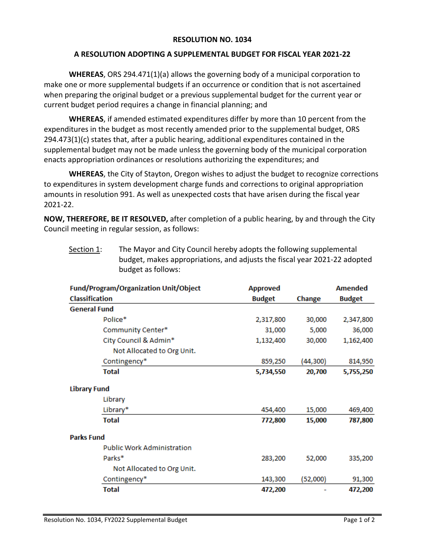## **RESOLUTION NO. 1034**

## **A RESOLUTION ADOPTING A SUPPLEMENTAL BUDGET FOR FISCAL YEAR 2021-22**

**WHEREAS**, ORS 294.471(1)(a) allows the governing body of a municipal corporation to make one or more supplemental budgets if an occurrence or condition that is not ascertained when preparing the original budget or a previous supplemental budget for the current year or current budget period requires a change in financial planning; and

**WHEREAS**, if amended estimated expenditures differ by more than 10 percent from the expenditures in the budget as most recently amended prior to the supplemental budget, ORS  $294.473(1)(c)$  states that, after a public hearing, additional expenditures contained in the supplemental budget may not be made unless the governing body of the municipal corporation enacts appropriation ordinances or resolutions authorizing the expenditures; and

**WHEREAS**, the City of Stayton, Oregon wishes to adjust the budget to recognize corrections to expenditures in system development charge funds and corrections to original appropriation amounts in resolution 991. As well as unexpected costs that have arisen during the fiscal year 2021-22.

**NOW, THEREFORE, BE IT RESOLVED,** after completion of a public hearing, by and through the City Council meeting in regular session, as follows:

| budget as follows:                           |                 |          |                |  |
|----------------------------------------------|-----------------|----------|----------------|--|
| <b>Fund/Program/Organization Unit/Object</b> | <b>Approved</b> |          | <b>Amended</b> |  |
| <b>Classification</b>                        | <b>Budget</b>   | Change   | <b>Budget</b>  |  |
| <b>General Fund</b>                          |                 |          |                |  |
| Police*                                      | 2,317,800       | 30,000   | 2,347,800      |  |
| Community Center*                            | 31,000          | 5,000    | 36,000         |  |
| City Council & Admin*                        | 1,132,400       | 30,000   | 1,162,400      |  |
| Not Allocated to Org Unit.                   |                 |          |                |  |
| Contingency*                                 | 859,250         | (44,300) | 814,950        |  |
| <b>Total</b>                                 | 5,734,550       | 20,700   | 5,755,250      |  |
| <b>Library Fund</b>                          |                 |          |                |  |
| Library                                      |                 |          |                |  |
| Library*                                     | 454,400         | 15,000   | 469,400        |  |
| <b>Total</b>                                 | 772,800         | 15,000   | 787,800        |  |
| <b>Parks Fund</b>                            |                 |          |                |  |
| <b>Public Work Administration</b>            |                 |          |                |  |
| Parks*                                       | 283,200         | 52,000   | 335,200        |  |
| Not Allocated to Org Unit.                   |                 |          |                |  |
| Contingency*                                 | 143,300         | (52,000) | 91,300         |  |
| <b>Total</b>                                 | 472,200         |          | 472,200        |  |
|                                              |                 |          |                |  |

Section 1: The Mayor and City Council hereby adopts the following supplemental budget, makes appropriations, and adjusts the fiscal year 2021-22 adopted